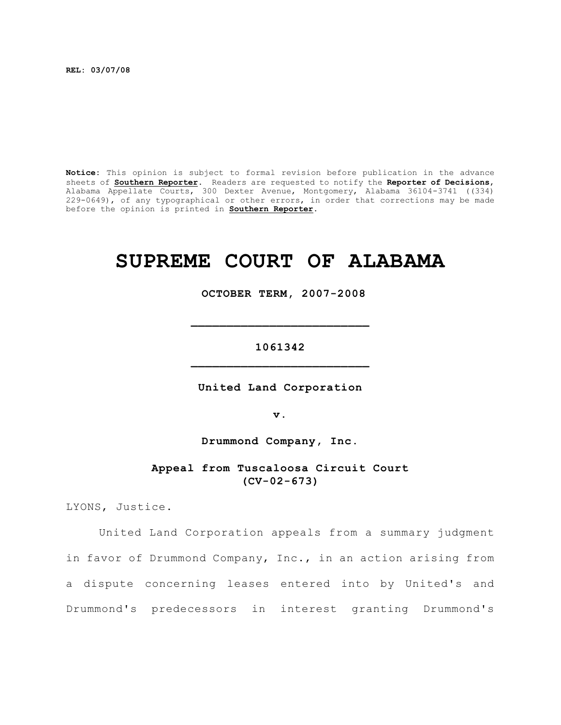**REL: 03/07/08**

**Notice:** This opinion is subject to formal revision before publication in the advance sheets of **Southern Reporter**. Readers are requested to notify the **Reporter of Decisions**, Alabama Appellate Courts, 300 Dexter Avenue, Montgomery, Alabama 36104-3741 ((334) 229-0649), of any typographical or other errors, in order that corrections may be made before the opinion is printed in **Southern Reporter**.

# **SUPREME COURT OF ALABAMA**

 **OCTOBER TERM, 2007-2008**

# **1061342 \_\_\_\_\_\_\_\_\_\_\_\_\_\_\_\_\_\_\_\_\_\_\_\_\_**

**\_\_\_\_\_\_\_\_\_\_\_\_\_\_\_\_\_\_\_\_\_\_\_\_\_**

**United Land Corporation**

**v.**

**Drummond Company, Inc.**

**Appeal from Tuscaloosa Circuit Court (CV-02-673)**

LYONS, Justice.

United Land Corporation appeals from a summary judgment in favor of Drummond Company, Inc., in an action arising from a dispute concerning leases entered into by United's and Drummond's predecessors in interest granting Drummond's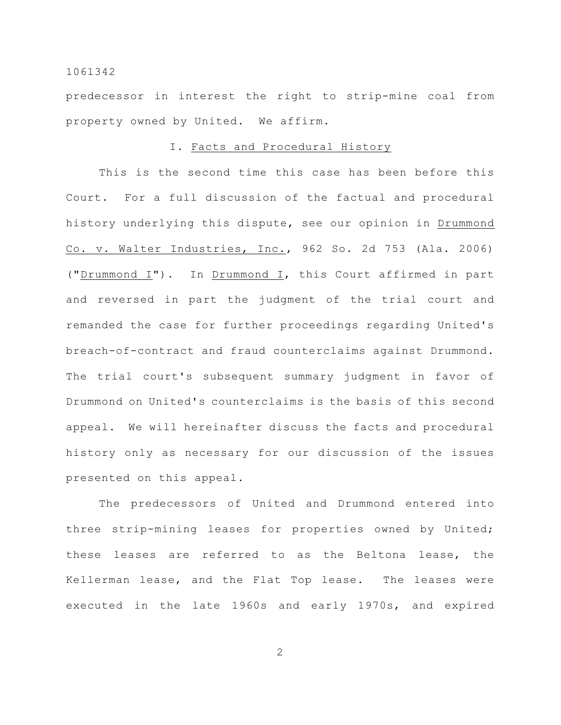predecessor in interest the right to strip-mine coal from property owned by United. We affirm.

# I. Facts and Procedural History

This is the second time this case has been before this Court. For a full discussion of the factual and procedural history underlying this dispute, see our opinion in Drummond Co. v. Walter Industries, Inc., 962 So. 2d 753 (Ala. 2006) ("Drummond I"). In Drummond I, this Court affirmed in part and reversed in part the judgment of the trial court and remanded the case for further proceedings regarding United's breach-of-contract and fraud counterclaims against Drummond. The trial court's subsequent summary judgment in favor of Drummond on United's counterclaims is the basis of this second appeal. We will hereinafter discuss the facts and procedural history only as necessary for our discussion of the issues presented on this appeal.

The predecessors of United and Drummond entered into three strip-mining leases for properties owned by United; these leases are referred to as the Beltona lease, the Kellerman lease, and the Flat Top lease. The leases were executed in the late 1960s and early 1970s, and expired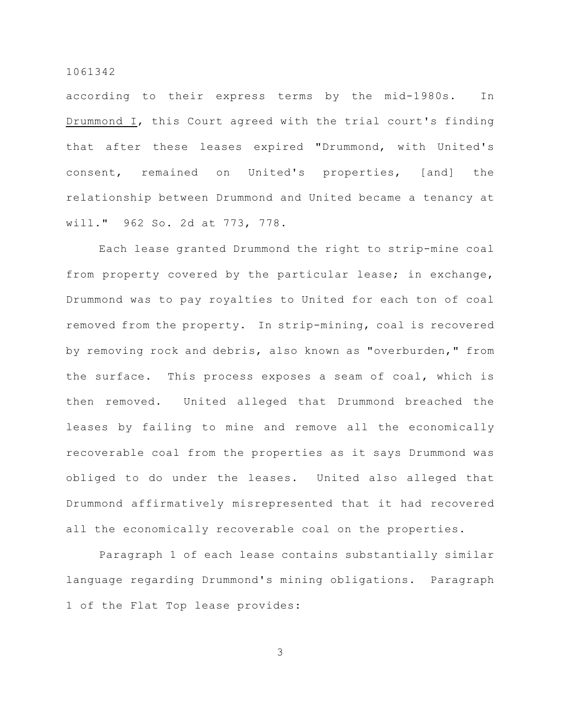according to their express terms by the mid-1980s. In Drummond I, this Court agreed with the trial court's finding that after these leases expired "Drummond, with United's consent, remained on United's properties, [and] the relationship between Drummond and United became a tenancy at will." 962 So. 2d at 773, 778.

Each lease granted Drummond the right to strip-mine coal from property covered by the particular lease; in exchange, Drummond was to pay royalties to United for each ton of coal removed from the property. In strip-mining, coal is recovered by removing rock and debris, also known as "overburden," from the surface. This process exposes a seam of coal, which is then removed. United alleged that Drummond breached the leases by failing to mine and remove all the economically recoverable coal from the properties as it says Drummond was obliged to do under the leases. United also alleged that Drummond affirmatively misrepresented that it had recovered all the economically recoverable coal on the properties.

Paragraph 1 of each lease contains substantially similar language regarding Drummond's mining obligations. Paragraph 1 of the Flat Top lease provides: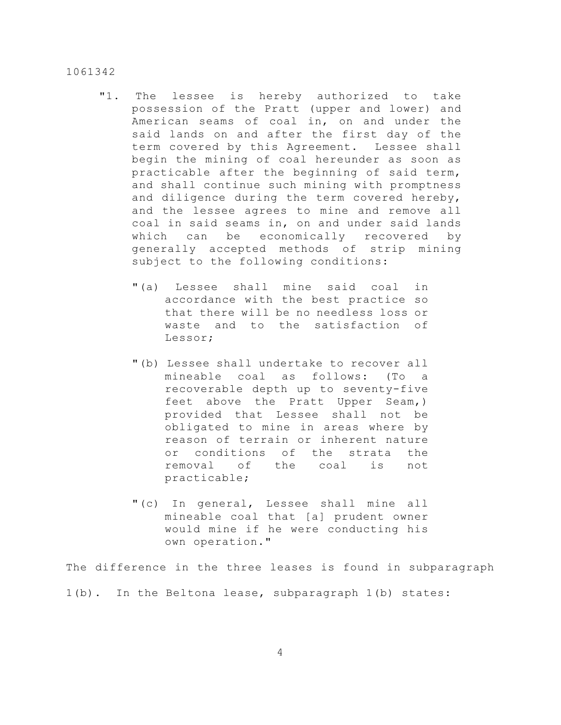- "1. The lessee is hereby authorized to take possession of the Pratt (upper and lower) and American seams of coal in, on and under the said lands on and after the first day of the term covered by this Agreement. Lessee shall begin the mining of coal hereunder as soon as practicable after the beginning of said term, and shall continue such mining with promptness and diligence during the term covered hereby, and the lessee agrees to mine and remove all coal in said seams in, on and under said lands which can be economically recovered by generally accepted methods of strip mining subject to the following conditions:
	- "(a) Lessee shall mine said coal in accordance with the best practice so that there will be no needless loss or waste and to the satisfaction of Lessor;
	- "(b) Lessee shall undertake to recover all mineable coal as follows: (To a recoverable depth up to seventy-five feet above the Pratt Upper Seam,) provided that Lessee shall not be obligated to mine in areas where by reason of terrain or inherent nature or conditions of the strata the removal of the coal is not practicable;
	- "(c) In general, Lessee shall mine all mineable coal that [a] prudent owner would mine if he were conducting his own operation."

The difference in the three leases is found in subparagraph

1(b). In the Beltona lease, subparagraph 1(b) states: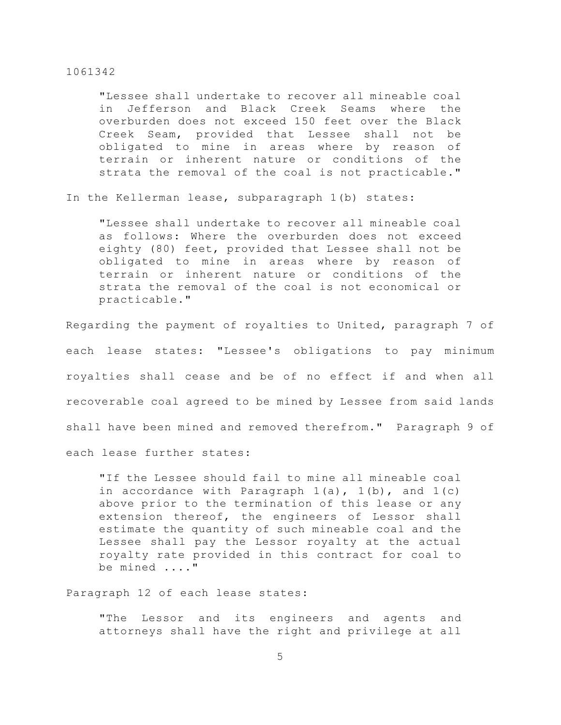"Lessee shall undertake to recover all mineable coal in Jefferson and Black Creek Seams where the overburden does not exceed 150 feet over the Black Creek Seam, provided that Lessee shall not be obligated to mine in areas where by reason of terrain or inherent nature or conditions of the strata the removal of the coal is not practicable."

In the Kellerman lease, subparagraph 1(b) states:

"Lessee shall undertake to recover all mineable coal as follows: Where the overburden does not exceed eighty (80) feet, provided that Lessee shall not be obligated to mine in areas where by reason of terrain or inherent nature or conditions of the strata the removal of the coal is not economical or practicable."

Regarding the payment of royalties to United, paragraph 7 of each lease states: "Lessee's obligations to pay minimum royalties shall cease and be of no effect if and when all recoverable coal agreed to be mined by Lessee from said lands shall have been mined and removed therefrom." Paragraph 9 of each lease further states:

"If the Lessee should fail to mine all mineable coal in accordance with Paragraph  $1(a)$ ,  $1(b)$ , and  $1(c)$ above prior to the termination of this lease or any extension thereof, the engineers of Lessor shall estimate the quantity of such mineable coal and the Lessee shall pay the Lessor royalty at the actual royalty rate provided in this contract for coal to be mined ...."

Paragraph 12 of each lease states:

"The Lessor and its engineers and agents and attorneys shall have the right and privilege at all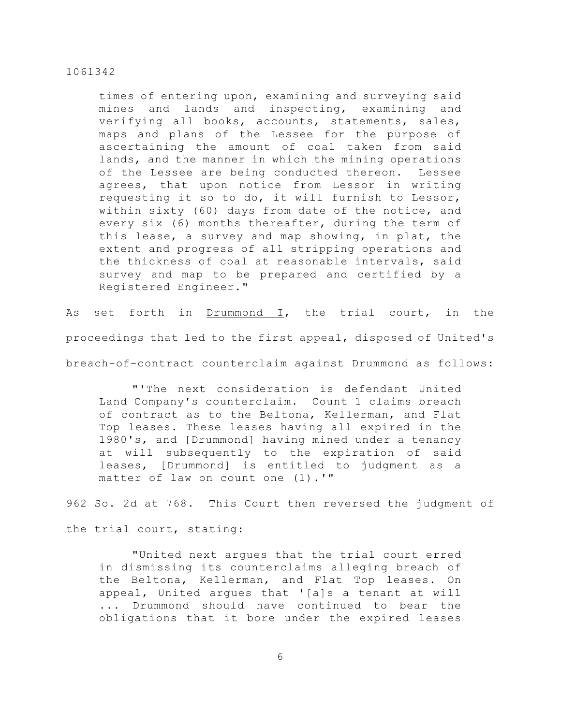times of entering upon, examining and surveying said mines and lands and inspecting, examining and verifying all books, accounts, statements, sales, maps and plans of the Lessee for the purpose of ascertaining the amount of coal taken from said lands, and the manner in which the mining operations of the Lessee are being conducted thereon. Lessee agrees, that upon notice from Lessor in writing requesting it so to do, it will furnish to Lessor, within sixty (60) days from date of the notice, and every six (6) months thereafter, during the term of this lease, a survey and map showing, in plat, the extent and progress of all stripping operations and the thickness of coal at reasonable intervals, said survey and map to be prepared and certified by a Registered Engineer."

As set forth in Drummond I, the trial court, in the proceedings that led to the first appeal, disposed of United's breach-of-contract counterclaim against Drummond as follows:

"'The next consideration is defendant United Land Company's counterclaim. Count 1 claims breach of contract as to the Beltona, Kellerman, and Flat Top leases. These leases having all expired in the 1980's, and [Drummond] having mined under a tenancy at will subsequently to the expiration of said leases, [Drummond] is entitled to judgment as a matter of law on count one (1).'"

962 So. 2d at 768. This Court then reversed the judgment of

the trial court, stating:

"United next argues that the trial court erred in dismissing its counterclaims alleging breach of the Beltona, Kellerman, and Flat Top leases. On appeal, United argues that '[a]s a tenant at will ... Drummond should have continued to bear the obligations that it bore under the expired leases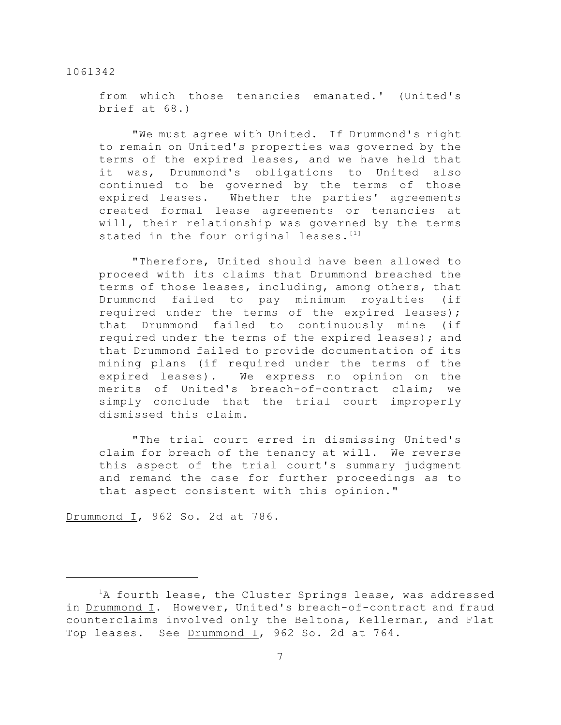from which those tenancies emanated.' (United's brief at 68.)

"We must agree with United. If Drummond's right to remain on United's properties was governed by the terms of the expired leases, and we have held that it was, Drummond's obligations to United also continued to be governed by the terms of those expired leases. Whether the parties' agreements created formal lease agreements or tenancies at will, their relationship was governed by the terms stated in the four original leases.<sup>[1]</sup>

"Therefore, United should have been allowed to proceed with its claims that Drummond breached the terms of those leases, including, among others, that Drummond failed to pay minimum royalties (if required under the terms of the expired leases); that Drummond failed to continuously mine (if required under the terms of the expired leases); and that Drummond failed to provide documentation of its mining plans (if required under the terms of the expired leases). We express no opinion on the merits of United's breach-of-contract claim; we simply conclude that the trial court improperly dismissed this claim.

"The trial court erred in dismissing United's claim for breach of the tenancy at will. We reverse this aspect of the trial court's summary judgment and remand the case for further proceedings as to that aspect consistent with this opinion."

Drummond I, 962 So. 2d at 786.

 ${}^{1}$ A fourth lease, the Cluster Springs lease, was addressed in Drummond I. However, United's breach-of-contract and fraud counterclaims involved only the Beltona, Kellerman, and Flat Top leases. See Drummond I, 962 So. 2d at 764.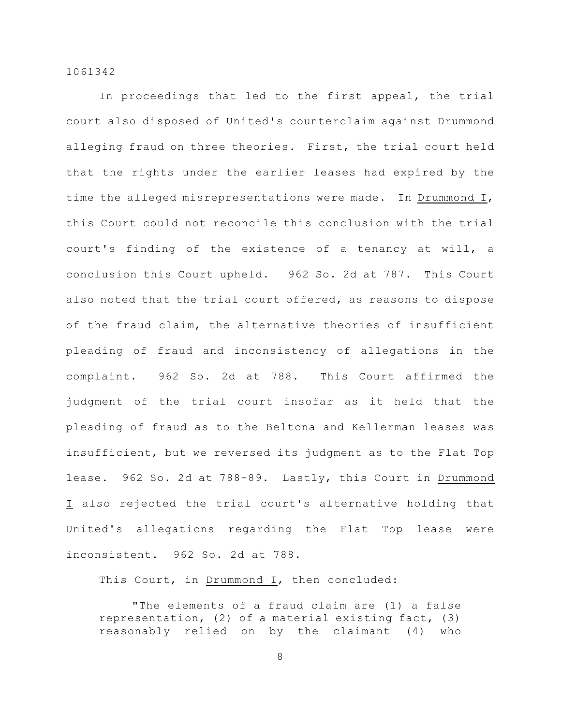In proceedings that led to the first appeal, the trial court also disposed of United's counterclaim against Drummond alleging fraud on three theories. First, the trial court held that the rights under the earlier leases had expired by the time the alleged misrepresentations were made. In Drummond I, this Court could not reconcile this conclusion with the trial court's finding of the existence of a tenancy at will, a conclusion this Court upheld. 962 So. 2d at 787. This Court also noted that the trial court offered, as reasons to dispose of the fraud claim, the alternative theories of insufficient pleading of fraud and inconsistency of allegations in the complaint. 962 So. 2d at 788. This Court affirmed the judgment of the trial court insofar as it held that the pleading of fraud as to the Beltona and Kellerman leases was insufficient, but we reversed its judgment as to the Flat Top lease. 962 So. 2d at 788-89. Lastly, this Court in Drummond I also rejected the trial court's alternative holding that United's allegations regarding the Flat Top lease were inconsistent. 962 So. 2d at 788.

This Court, in Drummond I, then concluded:

"The elements of a fraud claim are (1) a false representation, (2) of a material existing fact, (3) reasonably relied on by the claimant (4) who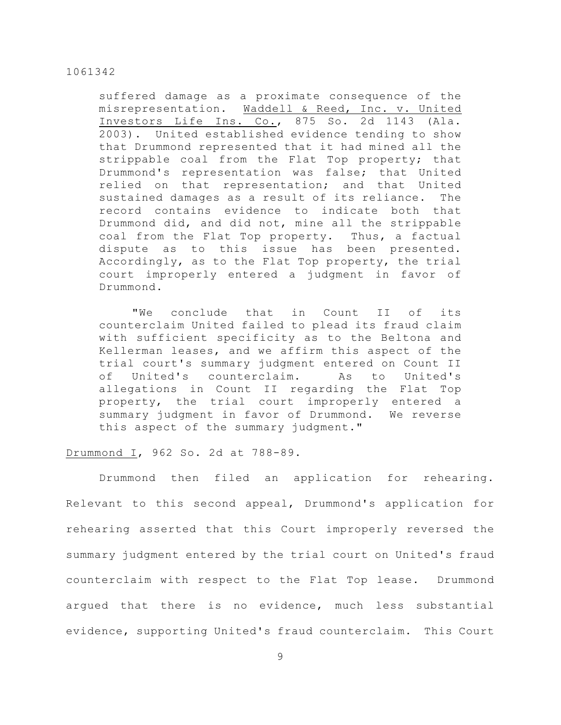suffered damage as a proximate consequence of the misrepresentation. Waddell & Reed, Inc. v. United Investors Life Ins. Co., 875 So. 2d 1143 (Ala. 2003). United established evidence tending to show that Drummond represented that it had mined all the strippable coal from the Flat Top property; that Drummond's representation was false; that United relied on that representation; and that United sustained damages as a result of its reliance. The record contains evidence to indicate both that Drummond did, and did not, mine all the strippable coal from the Flat Top property. Thus, a factual dispute as to this issue has been presented. Accordingly, as to the Flat Top property, the trial court improperly entered a judgment in favor of Drummond.

"We conclude that in Count II of its counterclaim United failed to plead its fraud claim with sufficient specificity as to the Beltona and Kellerman leases, and we affirm this aspect of the trial court's summary judgment entered on Count II of United's counterclaim. As to United's allegations in Count II regarding the Flat Top property, the trial court improperly entered a summary judgment in favor of Drummond. We reverse this aspect of the summary judgment."

# Drummond I, 962 So. 2d at 788-89.

Drummond then filed an application for rehearing. Relevant to this second appeal, Drummond's application for rehearing asserted that this Court improperly reversed the summary judgment entered by the trial court on United's fraud counterclaim with respect to the Flat Top lease. Drummond argued that there is no evidence, much less substantial evidence, supporting United's fraud counterclaim. This Court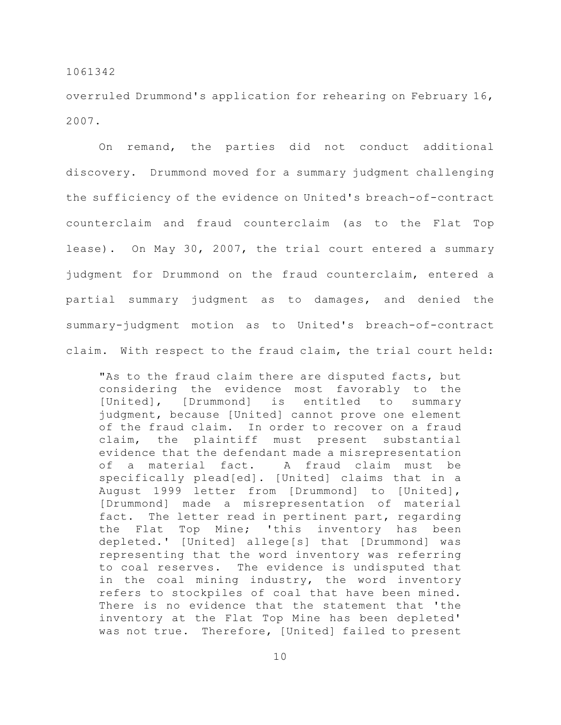overruled Drummond's application for rehearing on February 16, 2007.

On remand, the parties did not conduct additional discovery. Drummond moved for a summary judgment challenging the sufficiency of the evidence on United's breach-of-contract counterclaim and fraud counterclaim (as to the Flat Top lease). On May 30, 2007, the trial court entered a summary judgment for Drummond on the fraud counterclaim, entered a partial summary judgment as to damages, and denied the summary-judgment motion as to United's breach-of-contract claim. With respect to the fraud claim, the trial court held:

"As to the fraud claim there are disputed facts, but considering the evidence most favorably to the [United], [Drummond] is entitled to summary judgment, because [United] cannot prove one element of the fraud claim. In order to recover on a fraud claim, the plaintiff must present substantial evidence that the defendant made a misrepresentation of a material fact. A fraud claim must be specifically plead[ed]. [United] claims that in a August 1999 letter from [Drummond] to [United], [Drummond] made a misrepresentation of material fact. The letter read in pertinent part, regarding the Flat Top Mine; 'this inventory has been depleted.' [United] allege[s] that [Drummond] was representing that the word inventory was referring to coal reserves. The evidence is undisputed that in the coal mining industry, the word inventory refers to stockpiles of coal that have been mined. There is no evidence that the statement that 'the inventory at the Flat Top Mine has been depleted' was not true. Therefore, [United] failed to present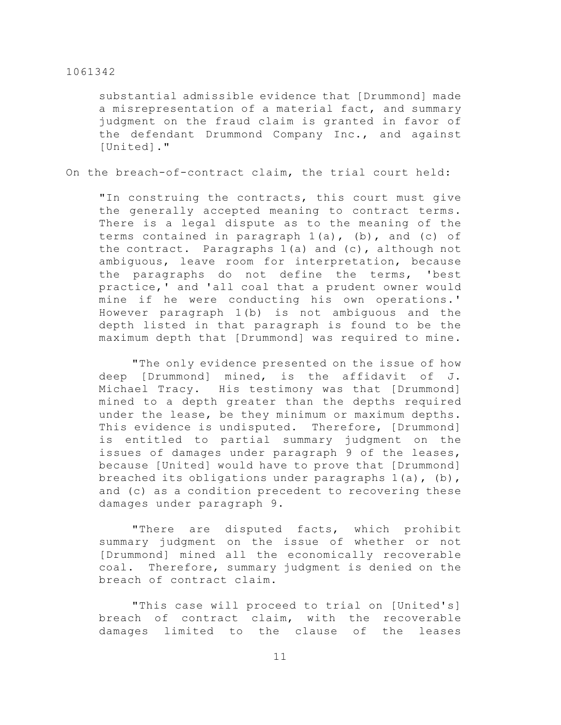substantial admissible evidence that [Drummond] made a misrepresentation of a material fact, and summary judgment on the fraud claim is granted in favor of the defendant Drummond Company Inc., and against [United]."

On the breach-of-contract claim, the trial court held:

"In construing the contracts, this court must give the generally accepted meaning to contract terms. There is a legal dispute as to the meaning of the terms contained in paragraph  $1(a)$ , (b), and (c) of the contract. Paragraphs 1(a) and (c), although not ambiguous, leave room for interpretation, because the paragraphs do not define the terms, 'best practice,' and 'all coal that a prudent owner would mine if he were conducting his own operations.' However paragraph 1(b) is not ambiguous and the depth listed in that paragraph is found to be the maximum depth that [Drummond] was required to mine.

"The only evidence presented on the issue of how deep [Drummond] mined, is the affidavit of J. Michael Tracy. His testimony was that [Drummond] mined to a depth greater than the depths required under the lease, be they minimum or maximum depths. This evidence is undisputed. Therefore, [Drummond] is entitled to partial summary judgment on the issues of damages under paragraph 9 of the leases, because [United] would have to prove that [Drummond] breached its obligations under paragraphs 1(a), (b), and (c) as a condition precedent to recovering these damages under paragraph 9.

"There are disputed facts, which prohibit summary judgment on the issue of whether or not [Drummond] mined all the economically recoverable coal. Therefore, summary judgment is denied on the breach of contract claim.

"This case will proceed to trial on [United's] breach of contract claim, with the recoverable damages limited to the clause of the leases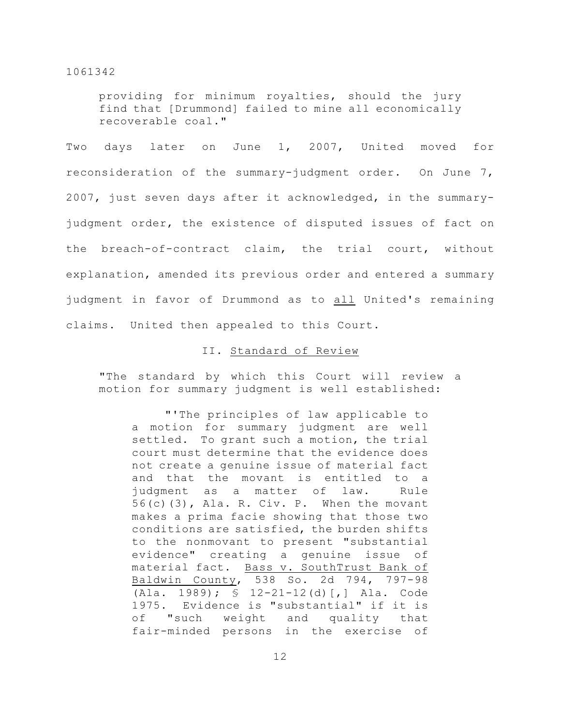providing for minimum royalties, should the jury find that [Drummond] failed to mine all economically recoverable coal."

Two days later on June 1, 2007, United moved for reconsideration of the summary-judgment order. On June 7, 2007, just seven days after it acknowledged, in the summaryjudgment order, the existence of disputed issues of fact on the breach-of-contract claim, the trial court, without explanation, amended its previous order and entered a summary judgment in favor of Drummond as to all United's remaining claims. United then appealed to this Court.

# II. Standard of Review

"The standard by which this Court will review a motion for summary judgment is well established:

"'The principles of law applicable to a motion for summary judgment are well settled. To grant such a motion, the trial court must determine that the evidence does not create a genuine issue of material fact and that the movant is entitled to a judgment as a matter of law. Rule 56(c)(3), Ala. R. Civ. P. When the movant makes a prima facie showing that those two conditions are satisfied, the burden shifts to the nonmovant to present "substantial evidence" creating a genuine issue of material fact. Bass v. SouthTrust Bank of Baldwin County, 538 So. 2d 794, 797-98 (Ala. 1989); § 12-21-12(d)[,] Ala. Code 1975. Evidence is "substantial" if it is of "such weight and quality that fair-minded persons in the exercise of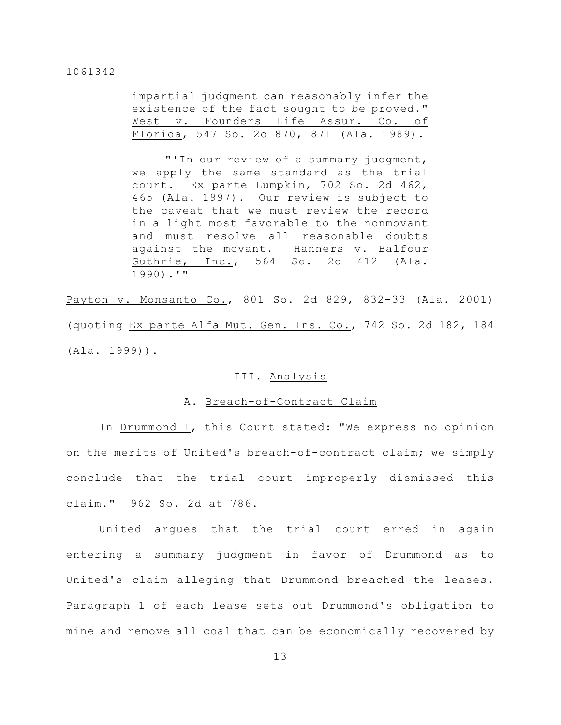impartial judgment can reasonably infer the existence of the fact sought to be proved." West v. Founders Life Assur. Co. of Florida, 547 So. 2d 870, 871 (Ala. 1989).

"'In our review of a summary judgment, we apply the same standard as the trial court. Ex parte Lumpkin, 702 So. 2d 462, 465 (Ala. 1997). Our review is subject to the caveat that we must review the record in a light most favorable to the nonmovant and must resolve all reasonable doubts against the movant. Hanners v. Balfour Guthrie, Inc., 564 So. 2d 412 (Ala. 1990).'"

Payton v. Monsanto Co., 801 So. 2d 829, 832-33 (Ala. 2001) (quoting Ex parte Alfa Mut. Gen. Ins. Co., 742 So. 2d 182, 184 (Ala. 1999)).

# III. Analysis

#### A. Breach-of-Contract Claim

In Drummond I, this Court stated: "We express no opinion on the merits of United's breach-of-contract claim; we simply conclude that the trial court improperly dismissed this claim." 962 So. 2d at 786.

United argues that the trial court erred in again entering a summary judgment in favor of Drummond as to United's claim alleging that Drummond breached the leases. Paragraph 1 of each lease sets out Drummond's obligation to mine and remove all coal that can be economically recovered by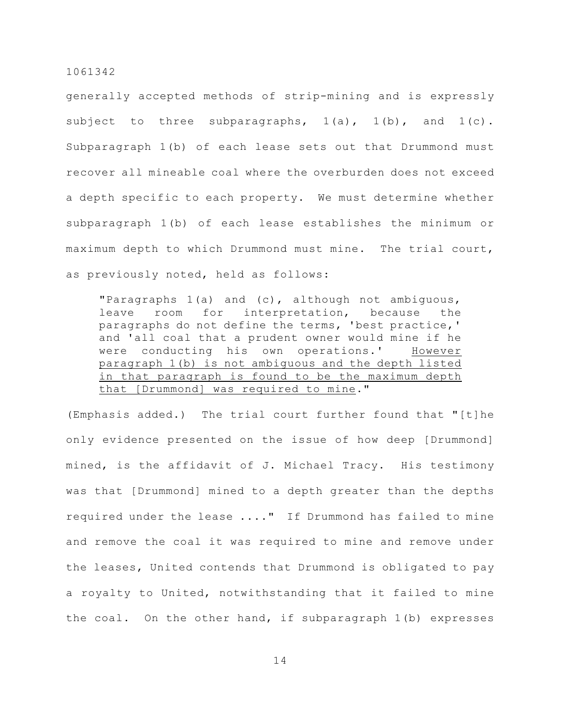generally accepted methods of strip-mining and is expressly subject to three subparagraphs,  $1(a)$ ,  $1(b)$ , and  $1(c)$ . Subparagraph 1(b) of each lease sets out that Drummond must recover all mineable coal where the overburden does not exceed a depth specific to each property. We must determine whether subparagraph 1(b) of each lease establishes the minimum or maximum depth to which Drummond must mine. The trial court, as previously noted, held as follows:

"Paragraphs 1(a) and (c), although not ambiguous, leave room for interpretation, because the paragraphs do not define the terms, 'best practice,' and 'all coal that a prudent owner would mine if he were conducting his own operations.' However paragraph 1(b) is not ambiguous and the depth listed in that paragraph is found to be the maximum depth that [Drummond] was required to mine."

(Emphasis added.) The trial court further found that "[t]he only evidence presented on the issue of how deep [Drummond] mined, is the affidavit of J. Michael Tracy. His testimony was that [Drummond] mined to a depth greater than the depths required under the lease ...." If Drummond has failed to mine and remove the coal it was required to mine and remove under the leases, United contends that Drummond is obligated to pay a royalty to United, notwithstanding that it failed to mine the coal. On the other hand, if subparagraph 1(b) expresses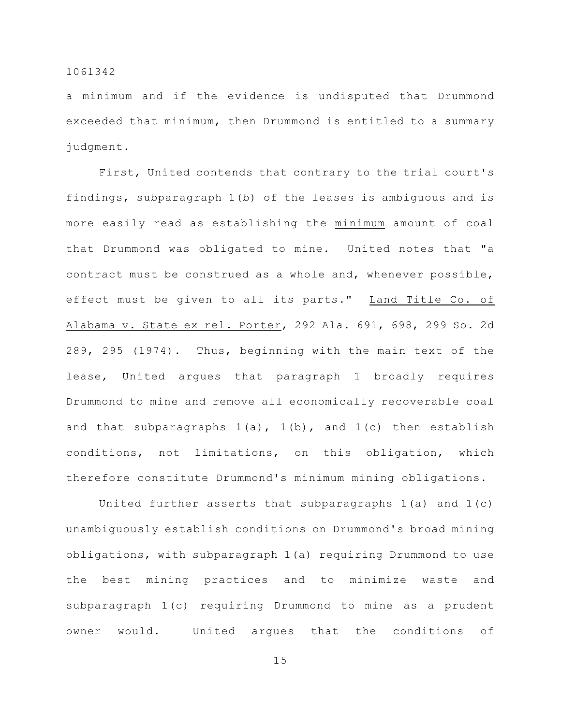a minimum and if the evidence is undisputed that Drummond exceeded that minimum, then Drummond is entitled to a summary judgment.

First, United contends that contrary to the trial court's findings, subparagraph 1(b) of the leases is ambiguous and is more easily read as establishing the minimum amount of coal that Drummond was obligated to mine. United notes that "a contract must be construed as a whole and, whenever possible, effect must be given to all its parts." Land Title Co. of Alabama v. State ex rel. Porter, 292 Ala. 691, 698, 299 So. 2d 289, 295 (1974). Thus, beginning with the main text of the lease, United argues that paragraph 1 broadly requires Drummond to mine and remove all economically recoverable coal and that subparagraphs  $1(a)$ ,  $1(b)$ , and  $1(c)$  then establish conditions, not limitations, on this obligation, which therefore constitute Drummond's minimum mining obligations.

United further asserts that subparagraphs 1(a) and 1(c) unambiguously establish conditions on Drummond's broad mining obligations, with subparagraph 1(a) requiring Drummond to use the best mining practices and to minimize waste and subparagraph 1(c) requiring Drummond to mine as a prudent owner would. United argues that the conditions of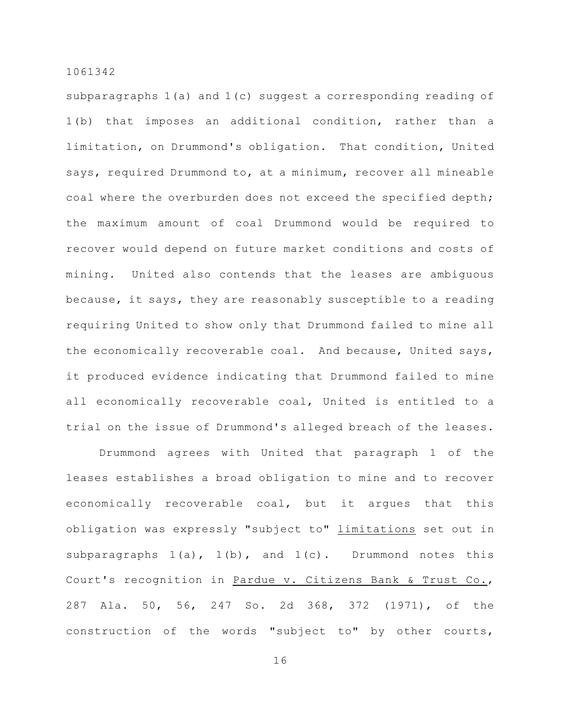subparagraphs 1(a) and 1(c) suggest a corresponding reading of 1(b) that imposes an additional condition, rather than a limitation, on Drummond's obligation. That condition, United says, required Drummond to, at a minimum, recover all mineable coal where the overburden does not exceed the specified depth; the maximum amount of coal Drummond would be required to recover would depend on future market conditions and costs of mining. United also contends that the leases are ambiguous because, it says, they are reasonably susceptible to a reading requiring United to show only that Drummond failed to mine all the economically recoverable coal. And because, United says, it produced evidence indicating that Drummond failed to mine all economically recoverable coal, United is entitled to a trial on the issue of Drummond's alleged breach of the leases.

Drummond agrees with United that paragraph 1 of the leases establishes a broad obligation to mine and to recover economically recoverable coal, but it argues that this obligation was expressly "subject to" limitations set out in subparagraphs  $1(a)$ ,  $1(b)$ , and  $1(c)$ . Drummond notes this Court's recognition in Pardue v. Citizens Bank & Trust Co., 287 Ala. 50, 56, 247 So. 2d 368, 372 (1971), of the construction of the words "subject to" by other courts,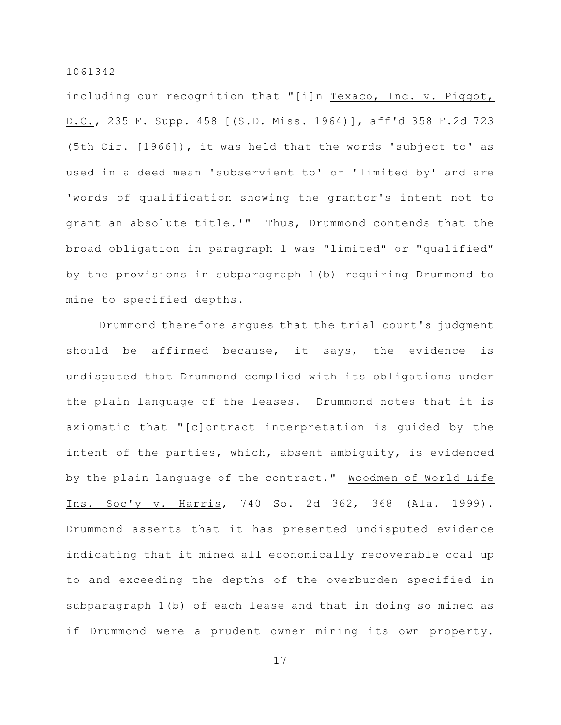including our recognition that "[i]n Texaco, Inc. v. Piggot, D.C., 235 F. Supp. 458 [(S.D. Miss. 1964)], aff'd 358 F.2d 723 (5th Cir. [1966]), it was held that the words 'subject to' as used in a deed mean 'subservient to' or 'limited by' and are 'words of qualification showing the grantor's intent not to grant an absolute title.'" Thus, Drummond contends that the broad obligation in paragraph 1 was "limited" or "qualified" by the provisions in subparagraph 1(b) requiring Drummond to mine to specified depths.

Drummond therefore argues that the trial court's judgment should be affirmed because, it says, the evidence is undisputed that Drummond complied with its obligations under the plain language of the leases. Drummond notes that it is axiomatic that "[c]ontract interpretation is guided by the intent of the parties, which, absent ambiguity, is evidenced by the plain language of the contract." Woodmen of World Life Ins. Soc'y v. Harris, 740 So. 2d 362, 368 (Ala. 1999). Drummond asserts that it has presented undisputed evidence indicating that it mined all economically recoverable coal up to and exceeding the depths of the overburden specified in subparagraph 1(b) of each lease and that in doing so mined as if Drummond were a prudent owner mining its own property.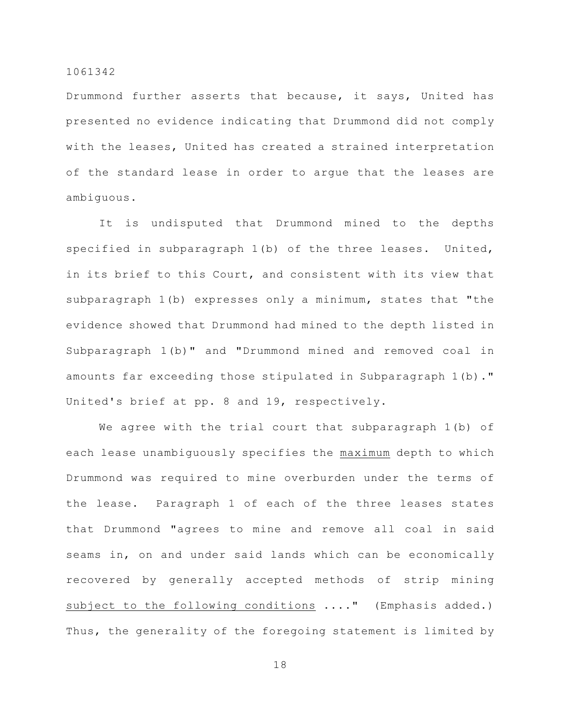Drummond further asserts that because, it says, United has presented no evidence indicating that Drummond did not comply with the leases, United has created a strained interpretation of the standard lease in order to argue that the leases are ambiguous.

It is undisputed that Drummond mined to the depths specified in subparagraph 1(b) of the three leases. United, in its brief to this Court, and consistent with its view that subparagraph 1(b) expresses only a minimum, states that "the evidence showed that Drummond had mined to the depth listed in Subparagraph 1(b)" and "Drummond mined and removed coal in amounts far exceeding those stipulated in Subparagraph 1(b)." United's brief at pp. 8 and 19, respectively.

We agree with the trial court that subparagraph 1(b) of each lease unambiguously specifies the maximum depth to which Drummond was required to mine overburden under the terms of the lease. Paragraph 1 of each of the three leases states that Drummond "agrees to mine and remove all coal in said seams in, on and under said lands which can be economically recovered by generally accepted methods of strip mining subject to the following conditions ...." (Emphasis added.) Thus, the generality of the foregoing statement is limited by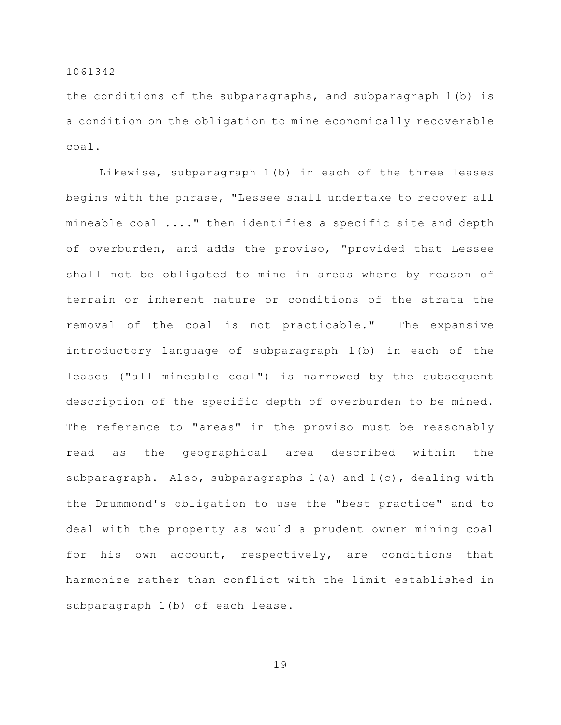the conditions of the subparagraphs, and subparagraph 1(b) is a condition on the obligation to mine economically recoverable coal.

Likewise, subparagraph 1(b) in each of the three leases begins with the phrase, "Lessee shall undertake to recover all mineable coal ...." then identifies a specific site and depth of overburden, and adds the proviso, "provided that Lessee shall not be obligated to mine in areas where by reason of terrain or inherent nature or conditions of the strata the removal of the coal is not practicable." The expansive introductory language of subparagraph 1(b) in each of the leases ("all mineable coal") is narrowed by the subsequent description of the specific depth of overburden to be mined. The reference to "areas" in the proviso must be reasonably read as the geographical area described within the subparagraph. Also, subparagraphs 1(a) and 1(c), dealing with the Drummond's obligation to use the "best practice" and to deal with the property as would a prudent owner mining coal for his own account, respectively, are conditions that harmonize rather than conflict with the limit established in subparagraph 1(b) of each lease.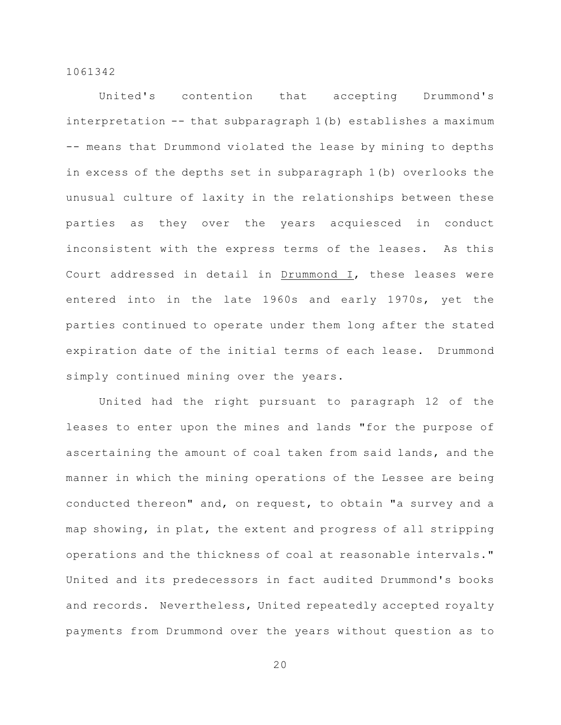United's contention that accepting Drummond's interpretation -- that subparagraph 1(b) establishes a maximum -- means that Drummond violated the lease by mining to depths in excess of the depths set in subparagraph 1(b) overlooks the unusual culture of laxity in the relationships between these parties as they over the years acquiesced in conduct inconsistent with the express terms of the leases. As this Court addressed in detail in Drummond I, these leases were entered into in the late 1960s and early 1970s, yet the parties continued to operate under them long after the stated expiration date of the initial terms of each lease. Drummond simply continued mining over the years.

United had the right pursuant to paragraph 12 of the leases to enter upon the mines and lands "for the purpose of ascertaining the amount of coal taken from said lands, and the manner in which the mining operations of the Lessee are being conducted thereon" and, on request, to obtain "a survey and a map showing, in plat, the extent and progress of all stripping operations and the thickness of coal at reasonable intervals." United and its predecessors in fact audited Drummond's books and records. Nevertheless, United repeatedly accepted royalty payments from Drummond over the years without question as to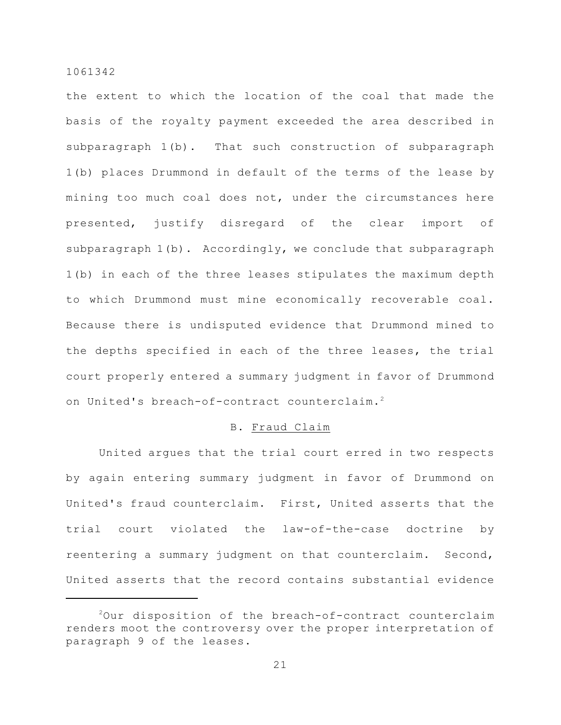the extent to which the location of the coal that made the basis of the royalty payment exceeded the area described in subparagraph 1(b). That such construction of subparagraph 1(b) places Drummond in default of the terms of the lease by mining too much coal does not, under the circumstances here presented, justify disregard of the clear import of subparagraph  $1(b)$ . Accordingly, we conclude that subparagraph 1(b) in each of the three leases stipulates the maximum depth to which Drummond must mine economically recoverable coal. Because there is undisputed evidence that Drummond mined to the depths specified in each of the three leases, the trial court properly entered a summary judgment in favor of Drummond on United's breach-of-contract counterclaim.<sup>2</sup>

# B. Fraud Claim

United argues that the trial court erred in two respects by again entering summary judgment in favor of Drummond on United's fraud counterclaim. First, United asserts that the trial court violated the law-of-the-case doctrine by reentering a summary judgment on that counterclaim. Second, United asserts that the record contains substantial evidence

 $20$ ur disposition of the breach-of-contract counterclaim renders moot the controversy over the proper interpretation of paragraph 9 of the leases.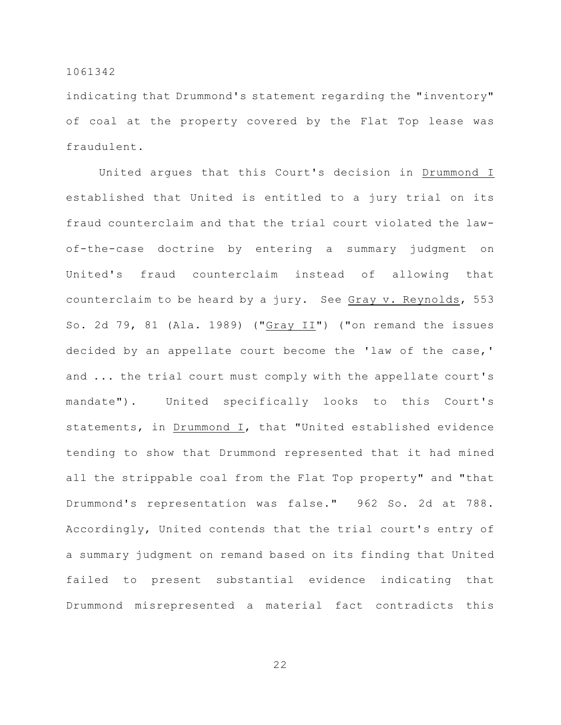indicating that Drummond's statement regarding the "inventory" of coal at the property covered by the Flat Top lease was fraudulent.

United argues that this Court's decision in Drummond I established that United is entitled to a jury trial on its fraud counterclaim and that the trial court violated the lawof-the-case doctrine by entering a summary judgment on United's fraud counterclaim instead of allowing that counterclaim to be heard by a jury. See Gray v. Reynolds, 553 So. 2d 79, 81 (Ala. 1989) ("Gray II") ("on remand the issues decided by an appellate court become the 'law of the case,' and ... the trial court must comply with the appellate court's mandate"). United specifically looks to this Court's statements, in Drummond I, that "United established evidence tending to show that Drummond represented that it had mined all the strippable coal from the Flat Top property" and "that Drummond's representation was false." 962 So. 2d at 788. Accordingly, United contends that the trial court's entry of a summary judgment on remand based on its finding that United failed to present substantial evidence indicating that Drummond misrepresented a material fact contradicts this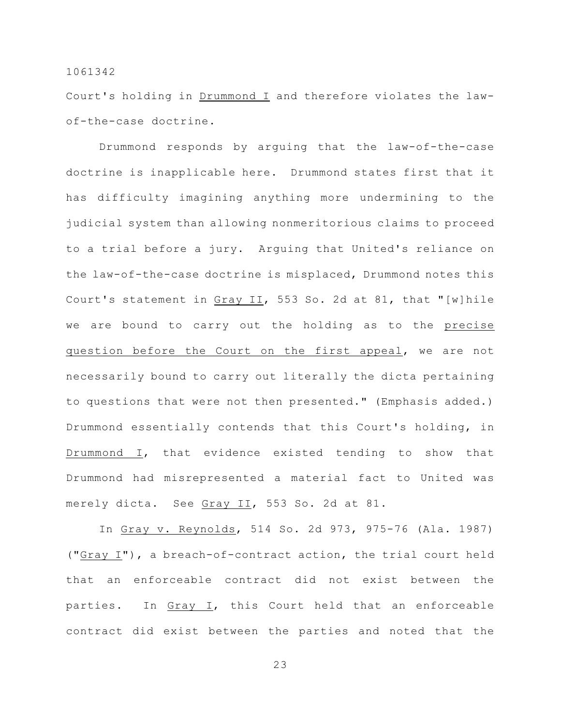Court's holding in Drummond I and therefore violates the lawof-the-case doctrine.

Drummond responds by arguing that the law-of-the-case doctrine is inapplicable here. Drummond states first that it has difficulty imagining anything more undermining to the judicial system than allowing nonmeritorious claims to proceed to a trial before a jury. Arguing that United's reliance on the law-of-the-case doctrine is misplaced, Drummond notes this Court's statement in Gray II, 553 So. 2d at 81, that "[w]hile we are bound to carry out the holding as to the precise question before the Court on the first appeal, we are not necessarily bound to carry out literally the dicta pertaining to questions that were not then presented." (Emphasis added.) Drummond essentially contends that this Court's holding, in Drummond I, that evidence existed tending to show that Drummond had misrepresented a material fact to United was merely dicta. See Gray II, 553 So. 2d at 81.

In Gray v. Reynolds, 514 So. 2d 973, 975-76 (Ala. 1987) ("Gray I"), a breach-of-contract action, the trial court held that an enforceable contract did not exist between the parties. In Gray I, this Court held that an enforceable contract did exist between the parties and noted that the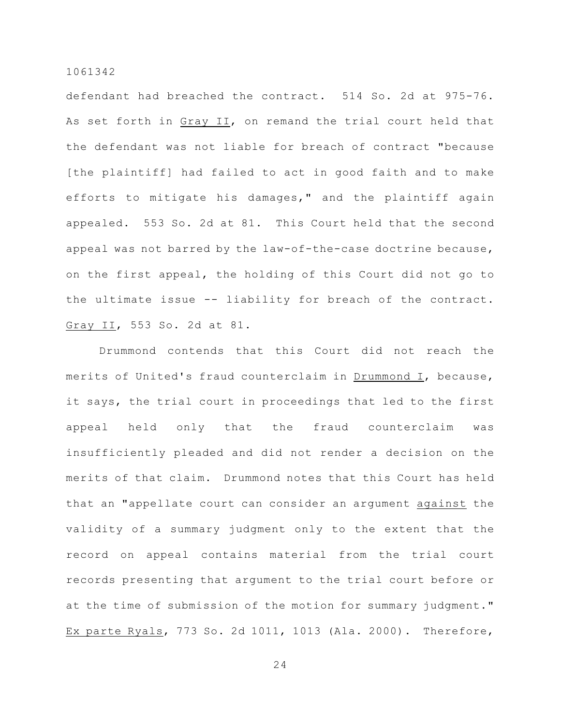defendant had breached the contract. 514 So. 2d at 975-76. As set forth in Gray II, on remand the trial court held that the defendant was not liable for breach of contract "because [the plaintiff] had failed to act in good faith and to make efforts to mitigate his damages," and the plaintiff again appealed. 553 So. 2d at 81. This Court held that the second appeal was not barred by the law-of-the-case doctrine because, on the first appeal, the holding of this Court did not go to the ultimate issue -- liability for breach of the contract. Gray II, 553 So. 2d at 81.

Drummond contends that this Court did not reach the merits of United's fraud counterclaim in Drummond I, because, it says, the trial court in proceedings that led to the first appeal held only that the fraud counterclaim was insufficiently pleaded and did not render a decision on the merits of that claim. Drummond notes that this Court has held that an "appellate court can consider an argument against the validity of a summary judgment only to the extent that the record on appeal contains material from the trial court records presenting that argument to the trial court before or at the time of submission of the motion for summary judgment." Ex parte Ryals, 773 So. 2d 1011, 1013 (Ala. 2000). Therefore,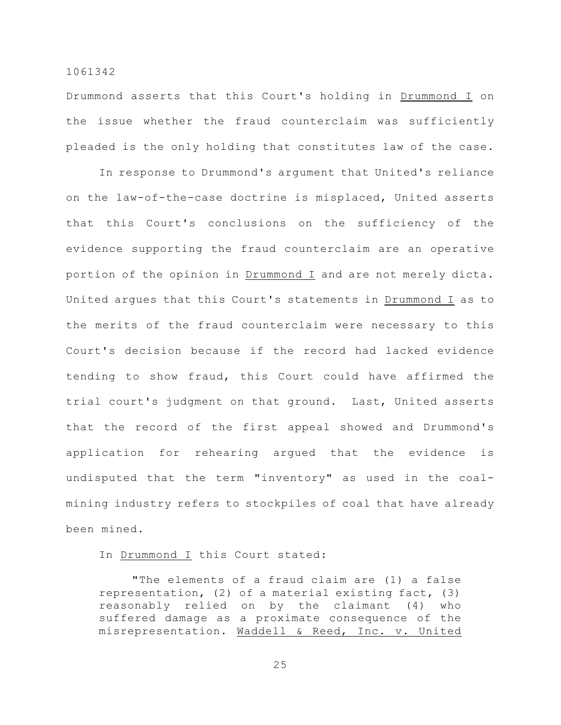Drummond asserts that this Court's holding in Drummond I on the issue whether the fraud counterclaim was sufficiently pleaded is the only holding that constitutes law of the case.

In response to Drummond's argument that United's reliance on the law-of-the-case doctrine is misplaced, United asserts that this Court's conclusions on the sufficiency of the evidence supporting the fraud counterclaim are an operative portion of the opinion in Drummond I and are not merely dicta. United argues that this Court's statements in Drummond I as to the merits of the fraud counterclaim were necessary to this Court's decision because if the record had lacked evidence tending to show fraud, this Court could have affirmed the trial court's judgment on that ground. Last, United asserts that the record of the first appeal showed and Drummond's application for rehearing argued that the evidence is undisputed that the term "inventory" as used in the coalmining industry refers to stockpiles of coal that have already been mined.

# In Drummond I this Court stated:

"The elements of a fraud claim are (1) a false representation, (2) of a material existing fact, (3) reasonably relied on by the claimant (4) who suffered damage as a proximate consequence of the misrepresentation. Waddell & Reed, Inc. v. United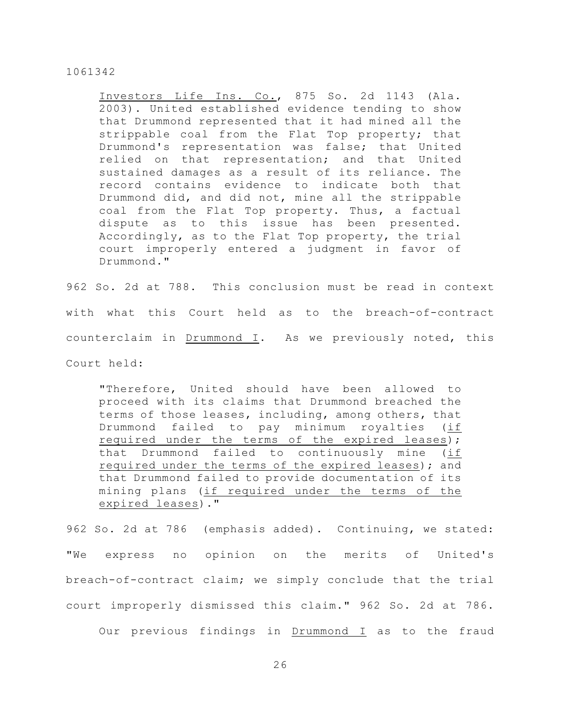Investors Life Ins. Co., 875 So. 2d 1143 (Ala. 2003). United established evidence tending to show that Drummond represented that it had mined all the strippable coal from the Flat Top property; that Drummond's representation was false; that United relied on that representation; and that United sustained damages as a result of its reliance. The record contains evidence to indicate both that Drummond did, and did not, mine all the strippable coal from the Flat Top property. Thus, a factual dispute as to this issue has been presented. Accordingly, as to the Flat Top property, the trial court improperly entered a judgment in favor of Drummond."

962 So. 2d at 788. This conclusion must be read in context with what this Court held as to the breach-of-contract counterclaim in Drummond  $I$ . As we previously noted, this Court held:

"Therefore, United should have been allowed to proceed with its claims that Drummond breached the terms of those leases, including, among others, that Drummond failed to pay minimum royalties (if required under the terms of the expired leases); that Drummond failed to continuously mine (if required under the terms of the expired leases); and that Drummond failed to provide documentation of its mining plans (if required under the terms of the expired leases)."

962 So. 2d at 786 (emphasis added). Continuing, we stated: "We express no opinion on the merits of United's breach-of-contract claim; we simply conclude that the trial court improperly dismissed this claim." 962 So. 2d at 786.

Our previous findings in Drummond I as to the fraud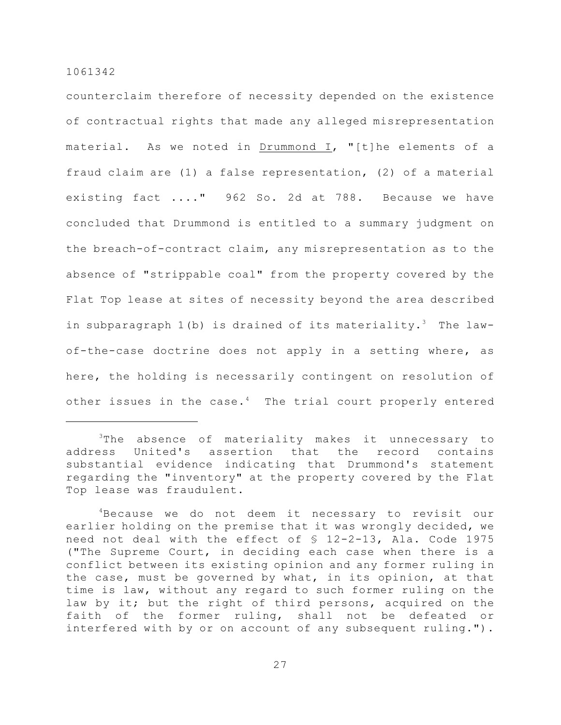counterclaim therefore of necessity depended on the existence of contractual rights that made any alleged misrepresentation material. As we noted in Drummond I, "[t]he elements of a fraud claim are (1) a false representation, (2) of a material existing fact ...." 962 So. 2d at 788. Because we have concluded that Drummond is entitled to a summary judgment on the breach-of-contract claim, any misrepresentation as to the absence of "strippable coal" from the property covered by the Flat Top lease at sites of necessity beyond the area described in subparagraph  $1(b)$  is drained of its materiality.<sup>3</sup> The lawof-the-case doctrine does not apply in a setting where, as here, the holding is necessarily contingent on resolution of other issues in the case. $4$  The trial court properly entered

 $3$ The absence of materiality makes it unnecessary to address United's assertion that the record contains substantial evidence indicating that Drummond's statement regarding the "inventory" at the property covered by the Flat Top lease was fraudulent.

 $4$ Because we do not deem it necessary to revisit our earlier holding on the premise that it was wrongly decided, we need not deal with the effect of § 12-2-13, Ala. Code 1975 ("The Supreme Court, in deciding each case when there is a conflict between its existing opinion and any former ruling in the case, must be governed by what, in its opinion, at that time is law, without any regard to such former ruling on the law by it; but the right of third persons, acquired on the faith of the former ruling, shall not be defeated or interfered with by or on account of any subsequent ruling.").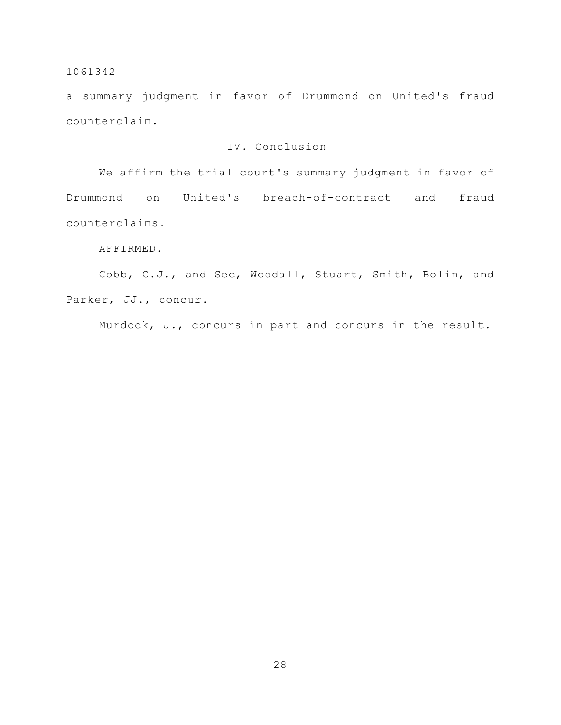a summary judgment in favor of Drummond on United's fraud counterclaim.

# IV. Conclusion

We affirm the trial court's summary judgment in favor of Drummond on United's breach-of-contract and fraud counterclaims.

# AFFIRMED.

Cobb, C.J., and See, Woodall, Stuart, Smith, Bolin, and Parker, JJ., concur.

Murdock, J., concurs in part and concurs in the result.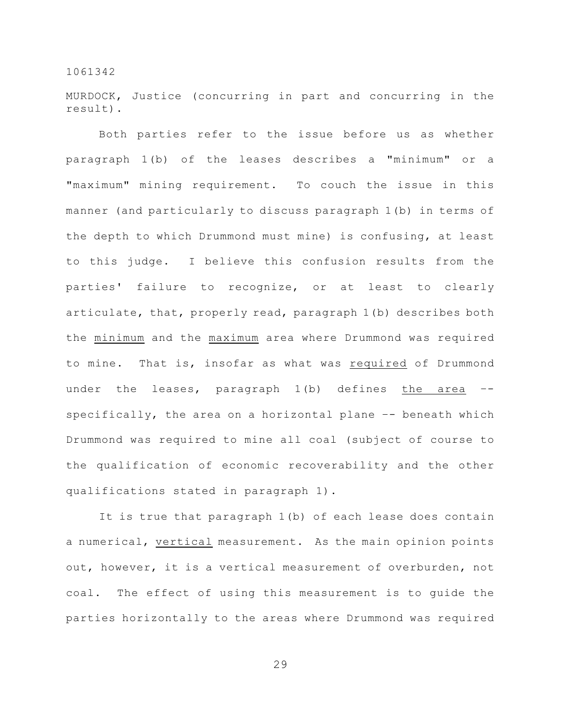MURDOCK, Justice (concurring in part and concurring in the result).

Both parties refer to the issue before us as whether paragraph 1(b) of the leases describes a "minimum" or a "maximum" mining requirement. To couch the issue in this manner (and particularly to discuss paragraph 1(b) in terms of the depth to which Drummond must mine) is confusing, at least to this judge. I believe this confusion results from the parties' failure to recognize, or at least to clearly articulate, that, properly read, paragraph 1(b) describes both the minimum and the maximum area where Drummond was required to mine. That is, insofar as what was required of Drummond under the leases, paragraph 1(b) defines the area – specifically, the area on a horizontal plane –- beneath which Drummond was required to mine all coal (subject of course to the qualification of economic recoverability and the other qualifications stated in paragraph 1).

It is true that paragraph 1(b) of each lease does contain a numerical, vertical measurement. As the main opinion points out, however, it is a vertical measurement of overburden, not coal. The effect of using this measurement is to guide the parties horizontally to the areas where Drummond was required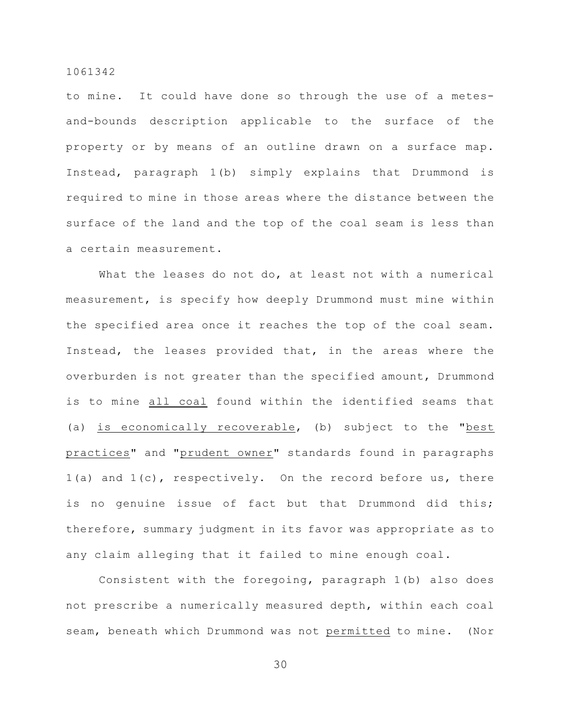to mine. It could have done so through the use of a metesand-bounds description applicable to the surface of the property or by means of an outline drawn on a surface map. Instead, paragraph 1(b) simply explains that Drummond is required to mine in those areas where the distance between the surface of the land and the top of the coal seam is less than a certain measurement.

What the leases do not do, at least not with a numerical measurement, is specify how deeply Drummond must mine within the specified area once it reaches the top of the coal seam. Instead, the leases provided that, in the areas where the overburden is not greater than the specified amount, Drummond is to mine all coal found within the identified seams that (a) is economically recoverable, (b) subject to the "best practices" and "prudent owner" standards found in paragraphs 1(a) and 1(c), respectively. On the record before us, there is no genuine issue of fact but that Drummond did this; therefore, summary judgment in its favor was appropriate as to any claim alleging that it failed to mine enough coal.

Consistent with the foregoing, paragraph 1(b) also does not prescribe a numerically measured depth, within each coal seam, beneath which Drummond was not permitted to mine. (Nor